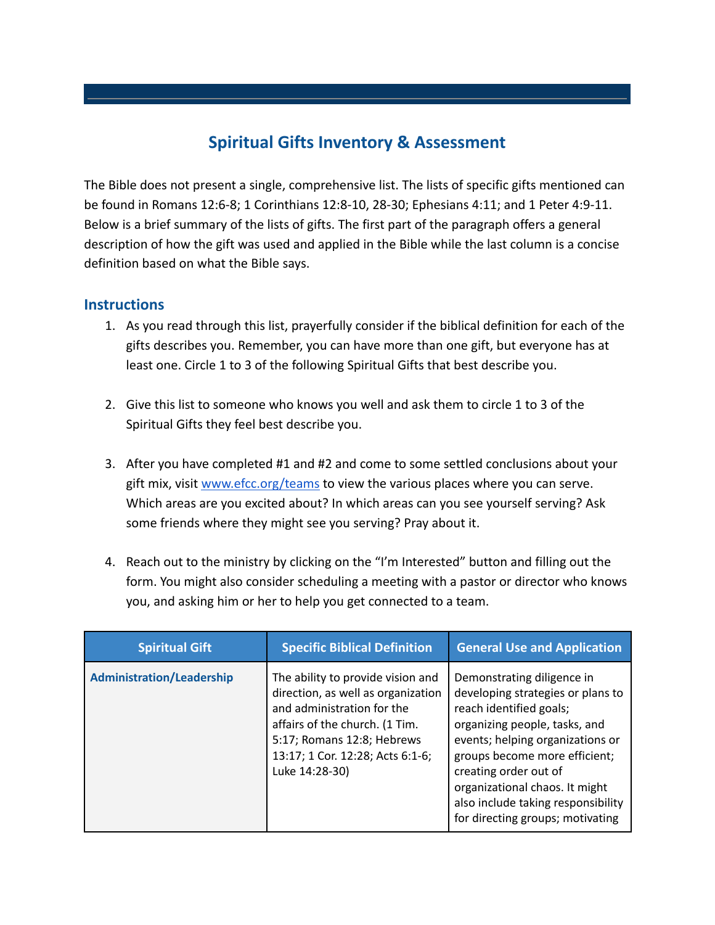## **Spiritual Gifts Inventory & Assessment**

The Bible does not present a single, comprehensive list. The lists of specific gifts mentioned can be found in Romans 12:6-8; 1 Corinthians 12:8-10, 28-30; Ephesians 4:11; and 1 Peter 4:9-11. Below is a brief summary of the lists of gifts. The first part of the paragraph offers a general description of how the gift was used and applied in the Bible while the last column is a concise definition based on what the Bible says.

## **Instructions**

- 1. As you read through this list, prayerfully consider if the biblical definition for each of the gifts describes you. Remember, you can have more than one gift, but everyone has at least one. Circle 1 to 3 of the following Spiritual Gifts that best describe you.
- 2. Give this list to someone who knows you well and ask them to circle 1 to 3 of the Spiritual Gifts they feel best describe you.
- 3. After you have completed #1 and #2 and come to some settled conclusions about your gift mix, visit [www.efcc.org/teams](http://www.efcc.org/teams) to view the various places where you can serve. Which areas are you excited about? In which areas can you see yourself serving? Ask some friends where they might see you serving? Pray about it.
- 4. Reach out to the ministry by clicking on the "I'm Interested" button and filling out the form. You might also consider scheduling a meeting with a pastor or director who knows you, and asking him or her to help you get connected to a team.

| <b>Spiritual Gift</b>            | <b>Specific Biblical Definition</b>                                                                                                                                                                                         | <b>General Use and Application</b>                                                                                                                                                                                                                                                                                                    |
|----------------------------------|-----------------------------------------------------------------------------------------------------------------------------------------------------------------------------------------------------------------------------|---------------------------------------------------------------------------------------------------------------------------------------------------------------------------------------------------------------------------------------------------------------------------------------------------------------------------------------|
| <b>Administration/Leadership</b> | The ability to provide vision and<br>direction, as well as organization<br>and administration for the<br>affairs of the church. (1 Tim.<br>5:17; Romans 12:8; Hebrews<br>13:17; 1 Cor. 12:28; Acts 6:1-6;<br>Luke 14:28-30) | Demonstrating diligence in<br>developing strategies or plans to<br>reach identified goals;<br>organizing people, tasks, and<br>events; helping organizations or<br>groups become more efficient;<br>creating order out of<br>organizational chaos. It might<br>also include taking responsibility<br>for directing groups; motivating |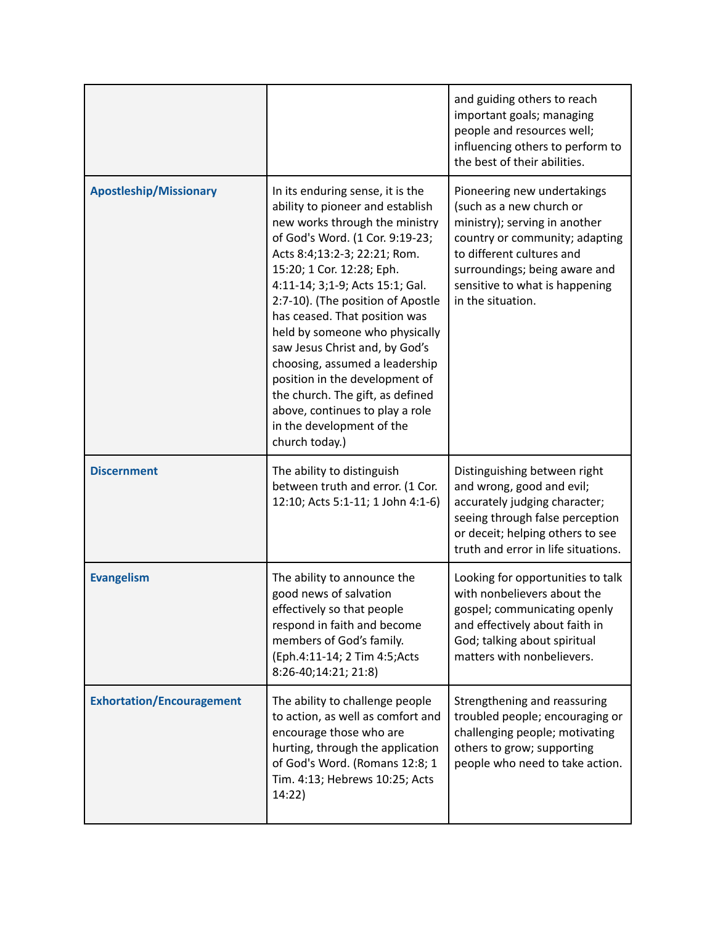|                                  |                                                                                                                                                                                                                                                                                                                                                                                                                                                                                                                                                                               | and guiding others to reach<br>important goals; managing<br>people and resources well;<br>influencing others to perform to<br>the best of their abilities.                                                                                      |
|----------------------------------|-------------------------------------------------------------------------------------------------------------------------------------------------------------------------------------------------------------------------------------------------------------------------------------------------------------------------------------------------------------------------------------------------------------------------------------------------------------------------------------------------------------------------------------------------------------------------------|-------------------------------------------------------------------------------------------------------------------------------------------------------------------------------------------------------------------------------------------------|
| <b>Apostleship/Missionary</b>    | In its enduring sense, it is the<br>ability to pioneer and establish<br>new works through the ministry<br>of God's Word. (1 Cor. 9:19-23;<br>Acts 8:4;13:2-3; 22:21; Rom.<br>15:20; 1 Cor. 12:28; Eph.<br>4:11-14; 3;1-9; Acts 15:1; Gal.<br>2:7-10). (The position of Apostle<br>has ceased. That position was<br>held by someone who physically<br>saw Jesus Christ and, by God's<br>choosing, assumed a leadership<br>position in the development of<br>the church. The gift, as defined<br>above, continues to play a role<br>in the development of the<br>church today.) | Pioneering new undertakings<br>(such as a new church or<br>ministry); serving in another<br>country or community; adapting<br>to different cultures and<br>surroundings; being aware and<br>sensitive to what is happening<br>in the situation. |
| <b>Discernment</b>               | The ability to distinguish<br>between truth and error. (1 Cor.<br>12:10; Acts 5:1-11; 1 John 4:1-6)                                                                                                                                                                                                                                                                                                                                                                                                                                                                           | Distinguishing between right<br>and wrong, good and evil;<br>accurately judging character;<br>seeing through false perception<br>or deceit; helping others to see<br>truth and error in life situations.                                        |
| <b>Evangelism</b>                | The ability to announce the<br>good news of salvation<br>effectively so that people<br>respond in faith and become<br>members of God's family.<br>(Eph.4:11-14; 2 Tim 4:5;Acts<br>8:26-40;14:21; 21:8)                                                                                                                                                                                                                                                                                                                                                                        | Looking for opportunities to talk<br>with nonbelievers about the<br>gospel; communicating openly<br>and effectively about faith in<br>God; talking about spiritual<br>matters with nonbelievers.                                                |
| <b>Exhortation/Encouragement</b> | The ability to challenge people<br>to action, as well as comfort and<br>encourage those who are<br>hurting, through the application<br>of God's Word. (Romans 12:8; 1<br>Tim. 4:13; Hebrews 10:25; Acts<br>14:22)                                                                                                                                                                                                                                                                                                                                                             | Strengthening and reassuring<br>troubled people; encouraging or<br>challenging people; motivating<br>others to grow; supporting<br>people who need to take action.                                                                              |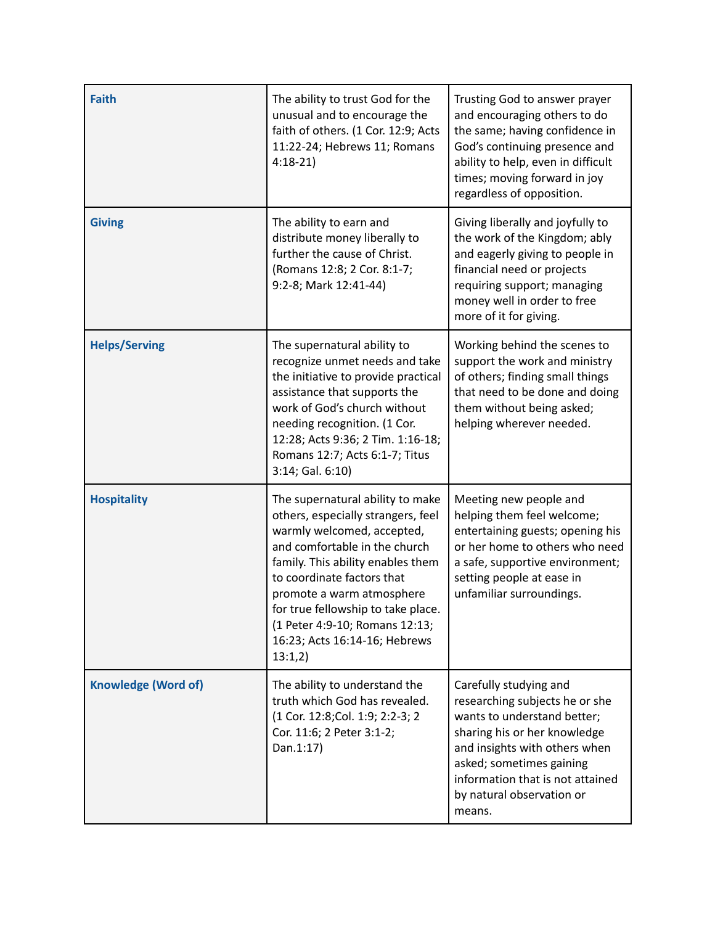| <b>Faith</b>               | The ability to trust God for the<br>unusual and to encourage the<br>faith of others. (1 Cor. 12:9; Acts<br>11:22-24; Hebrews 11; Romans<br>$4:18-21$                                                                                                                                                                                                      | Trusting God to answer prayer<br>and encouraging others to do<br>the same; having confidence in<br>God's continuing presence and<br>ability to help, even in difficult<br>times; moving forward in joy<br>regardless of opposition.                             |
|----------------------------|-----------------------------------------------------------------------------------------------------------------------------------------------------------------------------------------------------------------------------------------------------------------------------------------------------------------------------------------------------------|-----------------------------------------------------------------------------------------------------------------------------------------------------------------------------------------------------------------------------------------------------------------|
| <b>Giving</b>              | The ability to earn and<br>distribute money liberally to<br>further the cause of Christ.<br>(Romans 12:8; 2 Cor. 8:1-7;<br>9:2-8; Mark 12:41-44)                                                                                                                                                                                                          | Giving liberally and joyfully to<br>the work of the Kingdom; ably<br>and eagerly giving to people in<br>financial need or projects<br>requiring support; managing<br>money well in order to free<br>more of it for giving.                                      |
| <b>Helps/Serving</b>       | The supernatural ability to<br>recognize unmet needs and take<br>the initiative to provide practical<br>assistance that supports the<br>work of God's church without<br>needing recognition. (1 Cor.<br>12:28; Acts 9:36; 2 Tim. 1:16-18;<br>Romans 12:7; Acts 6:1-7; Titus<br>3:14; Gal. 6:10)                                                           | Working behind the scenes to<br>support the work and ministry<br>of others; finding small things<br>that need to be done and doing<br>them without being asked;<br>helping wherever needed.                                                                     |
| <b>Hospitality</b>         | The supernatural ability to make<br>others, especially strangers, feel<br>warmly welcomed, accepted,<br>and comfortable in the church<br>family. This ability enables them<br>to coordinate factors that<br>promote a warm atmosphere<br>for true fellowship to take place.<br>(1 Peter 4:9-10; Romans 12:13;<br>16:23; Acts 16:14-16; Hebrews<br>13:1,2) | Meeting new people and<br>helping them feel welcome;<br>entertaining guests; opening his<br>or her home to others who need<br>a safe, supportive environment;<br>setting people at ease in<br>unfamiliar surroundings.                                          |
| <b>Knowledge (Word of)</b> | The ability to understand the<br>truth which God has revealed.<br>(1 Cor. 12:8;Col. 1:9; 2:2-3; 2<br>Cor. 11:6; 2 Peter 3:1-2;<br>Dan.1:17)                                                                                                                                                                                                               | Carefully studying and<br>researching subjects he or she<br>wants to understand better;<br>sharing his or her knowledge<br>and insights with others when<br>asked; sometimes gaining<br>information that is not attained<br>by natural observation or<br>means. |